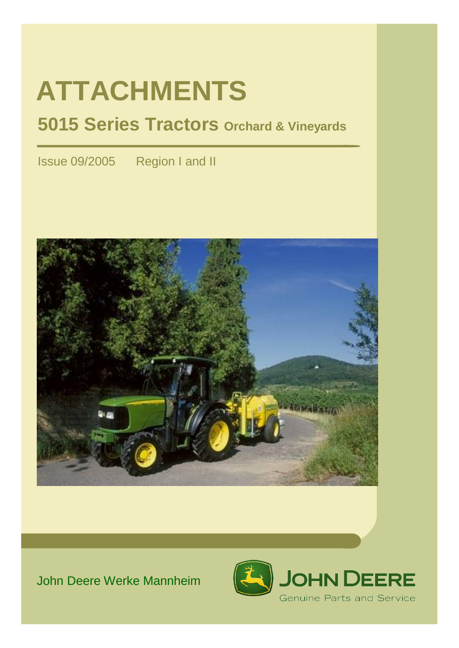# **ATTACHMENTS**

## **5015 Series Tractors Orchard & Vineyards**

Issue 09/2005 Region I and II



## John Deere Werke Mannheim

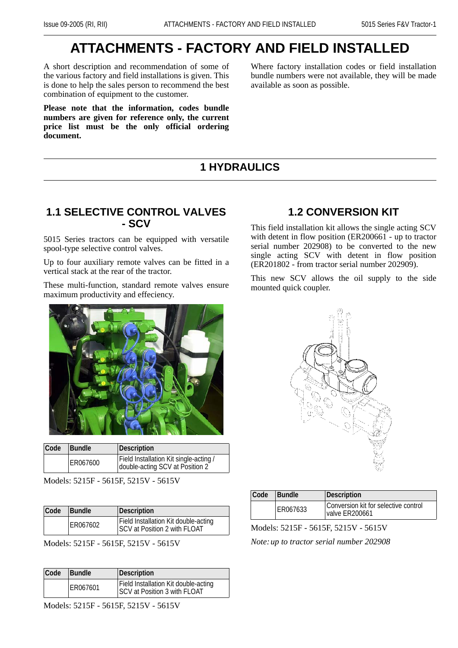## **ATTACHMENTS - FACTORY AND FIELD INSTALLED**

A short description and recommendation of some of the various factory and field installations is given. This is done to help the sales person to recommend the best combination of equipment to the customer.

**Please note that the information, codes bundle numbers are given for reference only, the current price list must be the only official ordering document.** 

Where factory installation codes or field installation bundle numbers were not available, they will be made available as soon as possible.

## **1 HYDRAULICS**

#### **1.1 SELECTIVE CONTROL VALVES - SCV**

5015 Series tractors can be equipped with versatile spool-type selective control valves.

Up to four auxiliary remote valves can be fitted in a vertical stack at the rear of the tractor.

These multi-function, standard remote valves ensure maximum productivity and effeciency.



| Code | Bundle   | Description                                                               |  |
|------|----------|---------------------------------------------------------------------------|--|
|      | ER067600 | Field Installation Kit single-acting /<br>double-acting SCV at Position 2 |  |

Models: 5215F - 5615F, 5215V - 5615V

| Code | <b>Bundle</b> | Description                                                          |
|------|---------------|----------------------------------------------------------------------|
|      | ER067602      | Field Installation Kit double-acting<br>SCV at Position 2 with FLOAT |

Models: 5215F - 5615F, 5215V - 5615V

| Code | Bundle<br>Description |                                                                      |
|------|-----------------------|----------------------------------------------------------------------|
|      | ER067601              | Field Installation Kit double-acting<br>SCV at Position 3 with FLOAT |

Models: 5215F - 5615F, 5215V - 5615V

## **1.2 CONVERSION KIT**

This field installation kit allows the single acting SCV with detent in flow position (ER200661 - up to tractor serial number  $202908$  to be converted to the new single acting SCV with detent in flow position (ER201802 - from tractor serial number 202909).

This new SCV allows the oil supply to the side mounted quick coupler.



| Code<br><b>Bundle</b> |  |          | Description                                            |
|-----------------------|--|----------|--------------------------------------------------------|
|                       |  | ER067633 | Conversion kit for selective control<br>valve ER200661 |

Models: 5215F - 5615F, 5215V - 5615V *Note:up to tractor serial number 202908*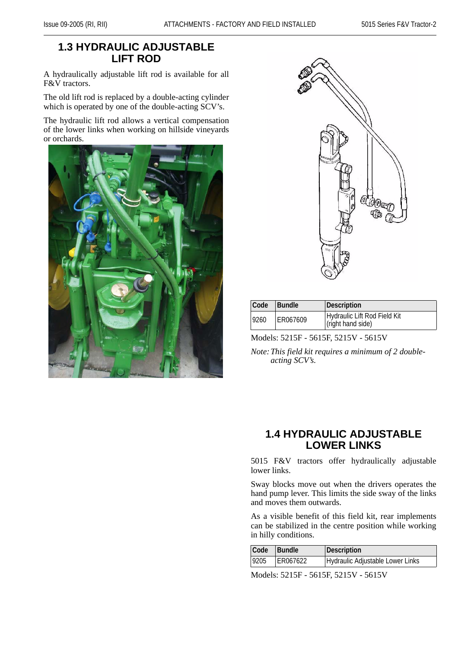### **1.3 HYDRAULIC ADJUSTABLE LIFT ROD**

A hydraulically adjustable lift rod is available for all F&V tractors.

The old lift rod is replaced by a double-acting cylinder which is operated by one of the double-acting SCV's.

The hydraulic lift rod allows a vertical compensation of the lower links when working on hillside vineyards or orchards.





| Code | <b>Bundle</b> | Description                                       |
|------|---------------|---------------------------------------------------|
| 9260 | ER067609      | Hydraulic Lift Rod Field Kit<br>(right hand side) |

Models: 5215F - 5615F, 5215V - 5615V

*Note:This field kit requires a minimum of 2 doubleacting SCV's.*

#### **1.4 HYDRAULIC ADJUSTABLE LOWER LINKS**

5015 F&V tractors offer hydraulically adjustable lower links.

Sway blocks move out when the drivers operates the hand pump lever. This limits the side sway of the links and moves them outwards.

As a visible benefit of this field kit, rear implements can be stabilized in the centre position while working in hilly conditions.

| Code | Bundle   | Description                      |
|------|----------|----------------------------------|
| 9205 | ER067622 | Hydraulic Adjustable Lower Links |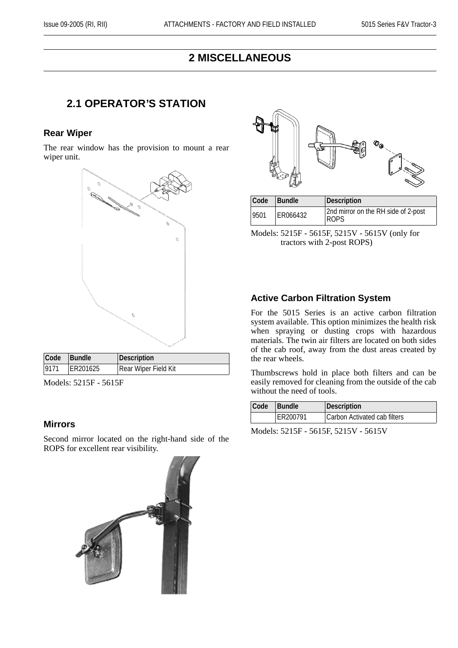#### **2 MISCELLANEOUS**

#### **2.1 OPERATOR'S STATION**

#### **Rear Wiper**

The rear window has the provision to mount a rear wiper unit.



| Models: 5215F - 5615F |  |
|-----------------------|--|
|                       |  |

#### **Mirrors**

Second mirror located on the right-hand side of the ROPS for excellent rear visibility.





| Code | <b>Bundle</b> | Description                                  |  |
|------|---------------|----------------------------------------------|--|
| 9501 | ER066432      | 2nd mirror on the RH side of 2-post<br>'ROPS |  |

Models: 5215F - 5615F, 5215V - 5615V (only for tractors with 2-post ROPS)

#### **Active Carbon Filtration System**

For the 5015 Series is an active carbon filtration system available. This option minimizes the health risk when spraying or dusting crops with hazardous materials. The twin air filters are located on both sides of the cab roof, away from the dust areas created by the rear wheels.

Thumbscrews hold in place both filters and can be easily removed for cleaning from the outside of the cab without the need of tools.

| Code     | Bundle | Description                  |
|----------|--------|------------------------------|
| ER200791 |        | Carbon Activated cab filters |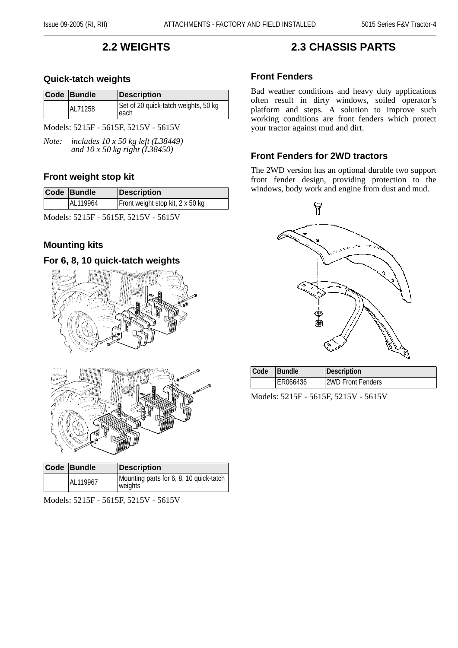## **2.2 WEIGHTS**

#### **Quick-tatch weights**

| Code Bundle | <b>Description</b>                           |
|-------------|----------------------------------------------|
| AL71258     | Set of 20 quick-tatch weights, 50 kg<br>each |

Models: 5215F - 5615F, 5215V - 5615V

*Note: includes 10 x 50 kg left (L38449) and 10 x 50 kg right (L38450)*

#### **Front weight stop kit**

| Code Bundle | <b>Description</b>               |  |
|-------------|----------------------------------|--|
| AL119964    | Front weight stop kit, 2 x 50 kg |  |

Models: 5215F - 5615F, 5215V - 5615V

#### **Mounting kits**

#### **For 6, 8, 10 quick-tatch weights**



| Models: 5215F - 5615F, 5215V - 5615V |  |  |
|--------------------------------------|--|--|

AL119967 Mounting parts for 6, 8, 10 quick-tatch

weights<sup>1</sup>

#### **Front Fenders**

Bad weather conditions and heavy duty applications often result in dirty windows, soiled operator's platform and steps. A solution to improve such working conditions are front fenders which protect your tractor against mud and dirt.

**2.3 CHASSIS PARTS**

#### **Front Fenders for 2WD tractors**

The 2WD version has an optional durable two support front fender design, providing protection to the windows, body work and engine from dust and mud.



| Code | <b>Bundle</b> | <b>Description</b> |  |  |  |
|------|---------------|--------------------|--|--|--|
|      | ER066436      | 2WD Front Fenders  |  |  |  |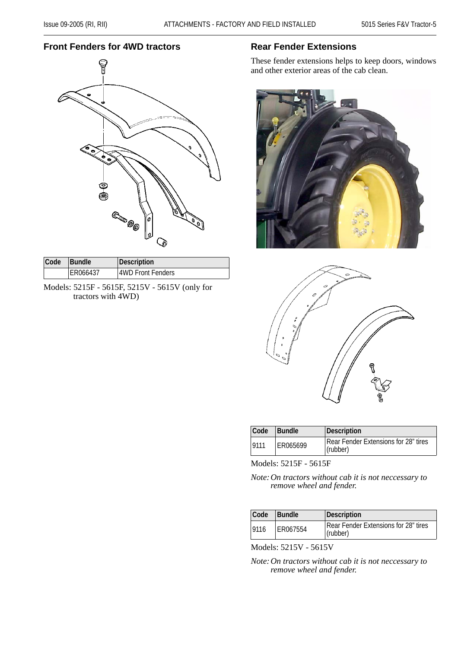#### **Front Fenders for 4WD tractors**



| Code | <b>Bundle</b> | Description       |
|------|---------------|-------------------|
|      | ER066437      | 4WD Front Fenders |

Models: 5215F - 5615F, 5215V - 5615V (only for tractors with 4WD)

#### **Rear Fender Extensions**

These fender extensions helps to keep doors, windows and other exterior areas of the cab clean.





| Code | <b>Bundle</b> | Description                                      |  |  |  |
|------|---------------|--------------------------------------------------|--|--|--|
| 9111 | ER065699      | Rear Fender Extensions for 28" tires<br>(rubber) |  |  |  |

Models: 5215F - 5615F

*Note:On tractors without cab it is not neccessary to remove wheel and fender.*

| Code | Bundle   | Description                                      |
|------|----------|--------------------------------------------------|
| 9116 | ER067554 | Rear Fender Extensions for 28" tires<br>(rubber) |

Models: 5215V - 5615V

*Note:On tractors without cab it is not neccessary to remove wheel and fender.*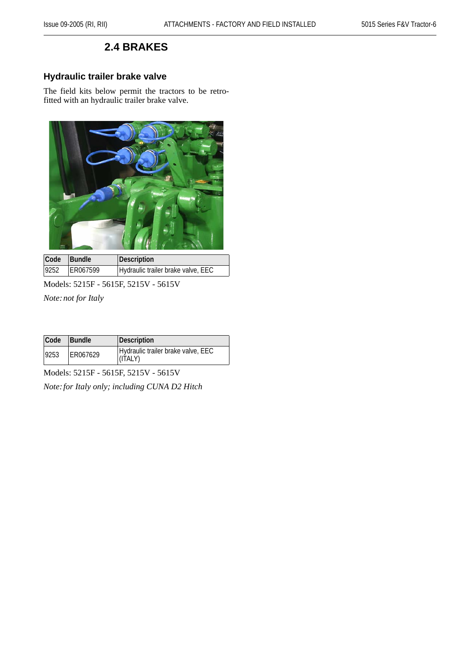## **2.4 BRAKES**

#### **Hydraulic trailer brake valve**

The field kits below permit the tractors to be retrofitted with an hydraulic trailer brake valve.



| Code | Bundle   | Description                        |
|------|----------|------------------------------------|
| 9252 | ER067599 | Hydraulic trailer brake valve, EEC |

Models: 5215F - 5615F, 5215V - 5615V

*Note:not for Italy*

| Code | <b>Bundle</b> | Description                                   |
|------|---------------|-----------------------------------------------|
| 9253 | ER067629      | Hydraulic trailer brake valve, EEC<br>(ITALY) |

Models: 5215F - 5615F, 5215V - 5615V

*Note:for Italy only; including CUNA D2 Hitch*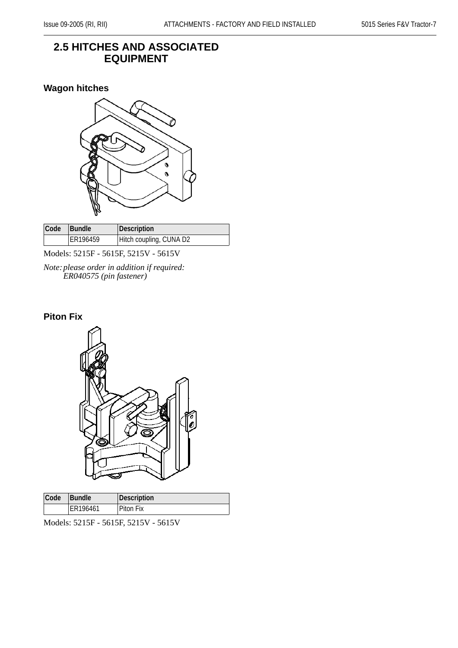#### **2.5 HITCHES AND ASSOCIATED EQUIPMENT**

#### **Wagon hitches**



| Code | <b>Bundle</b> | Description             |
|------|---------------|-------------------------|
|      | ER196459      | Hitch coupling, CUNA D2 |

Models: 5215F - 5615F, 5215V - 5615V

*Note:please order in addition if required: ER040575 (pin fastener)*

#### **Piton Fix**



| Code | <b>Bundle</b> | Description      |
|------|---------------|------------------|
|      | ER196461      | <b>Piton Fix</b> |